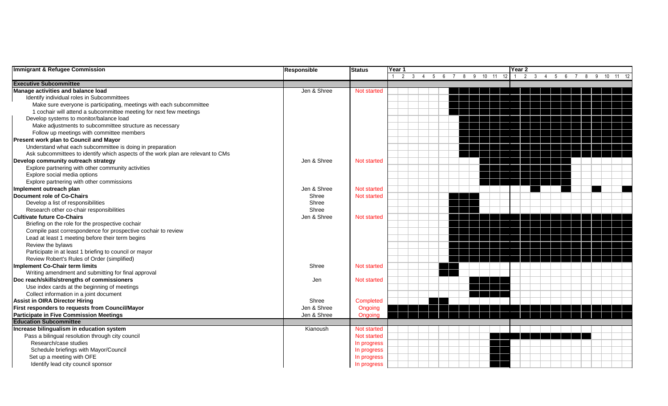| <b>Immigrant &amp; Refugee Commission</b>                                        | <b>Responsible</b> | <b>Status</b>      | Year 1<br>Year 2 |              |         |  |   |       |    |                |              |    |    |  |    |                       |    |  |  |
|----------------------------------------------------------------------------------|--------------------|--------------------|------------------|--------------|---------|--|---|-------|----|----------------|--------------|----|----|--|----|-----------------------|----|--|--|
|                                                                                  |                    |                    | 2                | $\mathbf{3}$ | -5<br>6 |  | 9 | 10 11 | 12 | $\overline{2}$ | $\mathbf{3}$ | -5 | -6 |  | -9 | 10 <sup>1</sup><br>11 | 12 |  |  |
| <b>Executive Subcommittee</b>                                                    |                    |                    |                  |              |         |  |   |       |    |                |              |    |    |  |    |                       |    |  |  |
| Manage activities and balance load                                               | Jen & Shree        | Not started        |                  |              |         |  |   |       |    |                |              |    |    |  |    |                       |    |  |  |
| Identify individual roles in Subcommittees                                       |                    |                    |                  |              |         |  |   |       |    |                |              |    |    |  |    |                       |    |  |  |
| Make sure everyone is participating, meetings with each subcommittee             |                    |                    |                  |              |         |  |   |       |    |                |              |    |    |  |    |                       |    |  |  |
| 1 cochair will attend a subcommittee meeting for next few meetings               |                    |                    |                  |              |         |  |   |       |    |                |              |    |    |  |    |                       |    |  |  |
| Develop systems to monitor/balance load                                          |                    |                    |                  |              |         |  |   |       |    |                |              |    |    |  |    |                       |    |  |  |
| Make adjustments to subcommittee structure as necessary                          |                    |                    |                  |              |         |  |   |       |    |                |              |    |    |  |    |                       |    |  |  |
| Follow up meetings with committee members                                        |                    |                    |                  |              |         |  |   |       |    |                |              |    |    |  |    |                       |    |  |  |
| Present work plan to Council and Mayor                                           |                    |                    |                  |              |         |  |   |       |    |                |              |    |    |  |    |                       |    |  |  |
| Understand what each subcommittee is doing in preparation                        |                    |                    |                  |              |         |  |   |       |    |                |              |    |    |  |    |                       |    |  |  |
| Ask subcommittees to identify which aspects of the work plan are relevant to CMs |                    |                    |                  |              |         |  |   |       |    |                |              |    |    |  |    |                       |    |  |  |
| Develop community outreach strategy                                              | Jen & Shree        | <b>Not started</b> |                  |              |         |  |   |       |    |                |              |    |    |  |    |                       |    |  |  |
| Explore partnering with other community activities                               |                    |                    |                  |              |         |  |   |       |    |                |              |    |    |  |    |                       |    |  |  |
| Explore social media options                                                     |                    |                    |                  |              |         |  |   |       |    |                |              |    |    |  |    |                       |    |  |  |
| Explore partnering with other commissions                                        |                    |                    |                  |              |         |  |   |       |    |                |              |    |    |  |    |                       |    |  |  |
| Implement outreach plan                                                          | Jen & Shree        | <b>Not started</b> |                  |              |         |  |   |       |    |                |              |    |    |  |    |                       |    |  |  |
| Document role of Co-Chairs                                                       | Shree              | Not started        |                  |              |         |  |   |       |    |                |              |    |    |  |    |                       |    |  |  |
| Develop a list of responsibilities                                               | Shree              |                    |                  |              |         |  |   |       |    |                |              |    |    |  |    |                       |    |  |  |
| Research other co-chair responsibilities                                         | Shree              |                    |                  |              |         |  |   |       |    |                |              |    |    |  |    |                       |    |  |  |
| <b>Cultivate future Co-Chairs</b>                                                | Jen & Shree        | <b>Not started</b> |                  |              |         |  |   |       |    |                |              |    |    |  |    |                       |    |  |  |
| Briefing on the role for the prospective cochair                                 |                    |                    |                  |              |         |  |   |       |    |                |              |    |    |  |    |                       |    |  |  |
| Compile past correspondence for prospective cochair to review                    |                    |                    |                  |              |         |  |   |       |    |                |              |    |    |  |    |                       |    |  |  |
| Lead at least 1 meeting before their term begins                                 |                    |                    |                  |              |         |  |   |       |    |                |              |    |    |  |    |                       |    |  |  |
| Review the bylaws                                                                |                    |                    |                  |              |         |  |   |       |    |                |              |    |    |  |    |                       |    |  |  |
| Participate in at least 1 briefing to council or mayor                           |                    |                    |                  |              |         |  |   |       |    |                |              |    |    |  |    |                       |    |  |  |
| Review Robert's Rules of Order (simplified)                                      |                    |                    |                  |              |         |  |   |       |    |                |              |    |    |  |    |                       |    |  |  |
| Implement Co-Chair term limits                                                   | Shree              | Not started        |                  |              |         |  |   |       |    |                |              |    |    |  |    |                       |    |  |  |
| Writing amendment and submitting for final approval                              |                    |                    |                  |              |         |  |   |       |    |                |              |    |    |  |    |                       |    |  |  |
| Doc reach/skills/strengths of commissioners                                      | Jen                | Not started        |                  |              |         |  |   |       |    |                |              |    |    |  |    |                       |    |  |  |
| Use index cards at the beginning of meetings                                     |                    |                    |                  |              |         |  |   |       |    |                |              |    |    |  |    |                       |    |  |  |
| Collect information in a joint document                                          |                    |                    |                  |              |         |  |   |       |    |                |              |    |    |  |    |                       |    |  |  |
| <b>Assist in OIRA Director Hiring</b>                                            | Shree              | Completed          |                  |              |         |  |   |       |    |                |              |    |    |  |    |                       |    |  |  |
| First responders to requests from Council/Mayor                                  | Jen & Shree        | Ongoing            |                  |              |         |  |   |       |    |                |              |    |    |  |    |                       |    |  |  |
| <b>Participate in Five Commission Meetings</b>                                   | Jen & Shree        | Ongoing            |                  |              |         |  |   |       |    |                |              |    |    |  |    |                       |    |  |  |
| <b>Education Subcommittee</b>                                                    |                    |                    |                  |              |         |  |   |       |    |                |              |    |    |  |    |                       |    |  |  |
| Increase bilingualism in education system                                        | Kianoush           | Not started        |                  |              |         |  |   |       |    |                |              |    |    |  |    |                       |    |  |  |
| Pass a bilingual resolution through city council                                 |                    | Not started        |                  |              |         |  |   |       |    |                |              |    |    |  |    |                       |    |  |  |
| Research/case studies                                                            |                    | In progress        |                  |              |         |  |   |       |    |                |              |    |    |  |    |                       |    |  |  |
| Schedule briefings with Mayor/Council                                            |                    | In progress        |                  |              |         |  |   |       |    |                |              |    |    |  |    |                       |    |  |  |
| Set up a meeting with OFE                                                        |                    | In progress        |                  |              |         |  |   |       |    |                |              |    |    |  |    |                       |    |  |  |
| Identify lead city council sponsor                                               |                    | In progress        |                  |              |         |  |   |       |    |                |              |    |    |  |    |                       |    |  |  |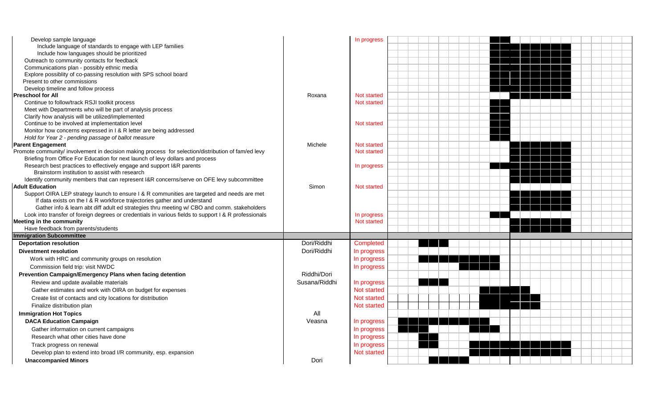| Develop sample language                                                                               |               | In progress        |  |  |  |  |  |  |  |  |
|-------------------------------------------------------------------------------------------------------|---------------|--------------------|--|--|--|--|--|--|--|--|
| Include language of standards to engage with LEP families                                             |               |                    |  |  |  |  |  |  |  |  |
| Include how languages should be prioritized                                                           |               |                    |  |  |  |  |  |  |  |  |
| Outreach to community contacts for feedback                                                           |               |                    |  |  |  |  |  |  |  |  |
| Communications plan - possibly ethnic media                                                           |               |                    |  |  |  |  |  |  |  |  |
| Explore possiblity of co-passing resolution with SPS school board                                     |               |                    |  |  |  |  |  |  |  |  |
| Present to other commissions                                                                          |               |                    |  |  |  |  |  |  |  |  |
| Develop timeline and follow process                                                                   |               |                    |  |  |  |  |  |  |  |  |
| <b>Preschool for All</b>                                                                              | Roxana        | Not started        |  |  |  |  |  |  |  |  |
| Continue to follow/track RSJI toolkit process                                                         |               | Not started        |  |  |  |  |  |  |  |  |
| Meet with Departments who will be part of analysis process                                            |               |                    |  |  |  |  |  |  |  |  |
| Clarify how analysis will be utilized/implemented                                                     |               |                    |  |  |  |  |  |  |  |  |
| Continue to be involved at implementation level                                                       |               | Not started        |  |  |  |  |  |  |  |  |
| Monitor how concerns expressed in I & R letter are being addressed                                    |               |                    |  |  |  |  |  |  |  |  |
| Hold for Year 2 - pending passage of ballot measure                                                   |               |                    |  |  |  |  |  |  |  |  |
| <b>Parent Engagement</b>                                                                              | Michele       | <b>Not started</b> |  |  |  |  |  |  |  |  |
| Promote community/ involvement in decision making process for selection/distribution of fam/ed levy   |               | Not started        |  |  |  |  |  |  |  |  |
| Briefing from Office For Education for next launch of levy dollars and process                        |               |                    |  |  |  |  |  |  |  |  |
| Research best practices to effectively engage and support I&R parents                                 |               | In progress        |  |  |  |  |  |  |  |  |
| Brainstorm institution to assist with research                                                        |               |                    |  |  |  |  |  |  |  |  |
| Identify community members that can represent I&R concerns/serve on OFE levy subcommittee             |               |                    |  |  |  |  |  |  |  |  |
| <b>Adult Education</b>                                                                                | Simon         | Not started        |  |  |  |  |  |  |  |  |
| Support OIRA LEP strategy launch to ensure I & R communities are targeted and needs are met           |               |                    |  |  |  |  |  |  |  |  |
| If data exists on the I & R workforce trajectories gather and understand                              |               |                    |  |  |  |  |  |  |  |  |
| Gather info & learn abt diff adult ed strategies thru meeting w/ CBO and comm. stakeholders           |               |                    |  |  |  |  |  |  |  |  |
| Look into transfer of foreign degrees or credentials in various fields to support I & R professionals |               | In progress        |  |  |  |  |  |  |  |  |
| <b>Meeting in the community</b>                                                                       |               | Not started        |  |  |  |  |  |  |  |  |
| Have feedback from parents/students                                                                   |               |                    |  |  |  |  |  |  |  |  |
| <b>Immigration Subcommittee</b>                                                                       |               |                    |  |  |  |  |  |  |  |  |
| <b>Deportation resolution</b>                                                                         | Dori/Riddhi   | Completed          |  |  |  |  |  |  |  |  |
| <b>Divestment resolution</b>                                                                          | Dori/Riddhi   | In progress        |  |  |  |  |  |  |  |  |
| Work with HRC and community groups on resolution                                                      |               | In progress        |  |  |  |  |  |  |  |  |
| Commission field trip: visit NWDC                                                                     |               | In progress        |  |  |  |  |  |  |  |  |
| Prevention Campaign/Emergency Plans when facing detention                                             | Riddhi/Dori   |                    |  |  |  |  |  |  |  |  |
| Review and update available materials                                                                 | Susana/Riddhi | In progress        |  |  |  |  |  |  |  |  |
| Gather estimates and work with OIRA on budget for expenses                                            |               | Not started        |  |  |  |  |  |  |  |  |
| Create list of contacts and city locations for distribution                                           |               | <b>Not started</b> |  |  |  |  |  |  |  |  |
| Finalize distribution plan                                                                            |               | Not started        |  |  |  |  |  |  |  |  |
| <b>Immigration Hot Topics</b>                                                                         | All           |                    |  |  |  |  |  |  |  |  |
| <b>DACA Education Campaign</b>                                                                        | Veasna        | In progress        |  |  |  |  |  |  |  |  |
| Gather information on current campaigns                                                               |               | In progress        |  |  |  |  |  |  |  |  |
| Research what other cities have done                                                                  |               | In progress        |  |  |  |  |  |  |  |  |
|                                                                                                       |               |                    |  |  |  |  |  |  |  |  |
| Track progress on renewal                                                                             |               | In progress        |  |  |  |  |  |  |  |  |
| Develop plan to extend into broad I/R community, esp. expansion                                       |               | <b>Not started</b> |  |  |  |  |  |  |  |  |
| <b>Unaccompanied Minors</b>                                                                           | Dori          |                    |  |  |  |  |  |  |  |  |